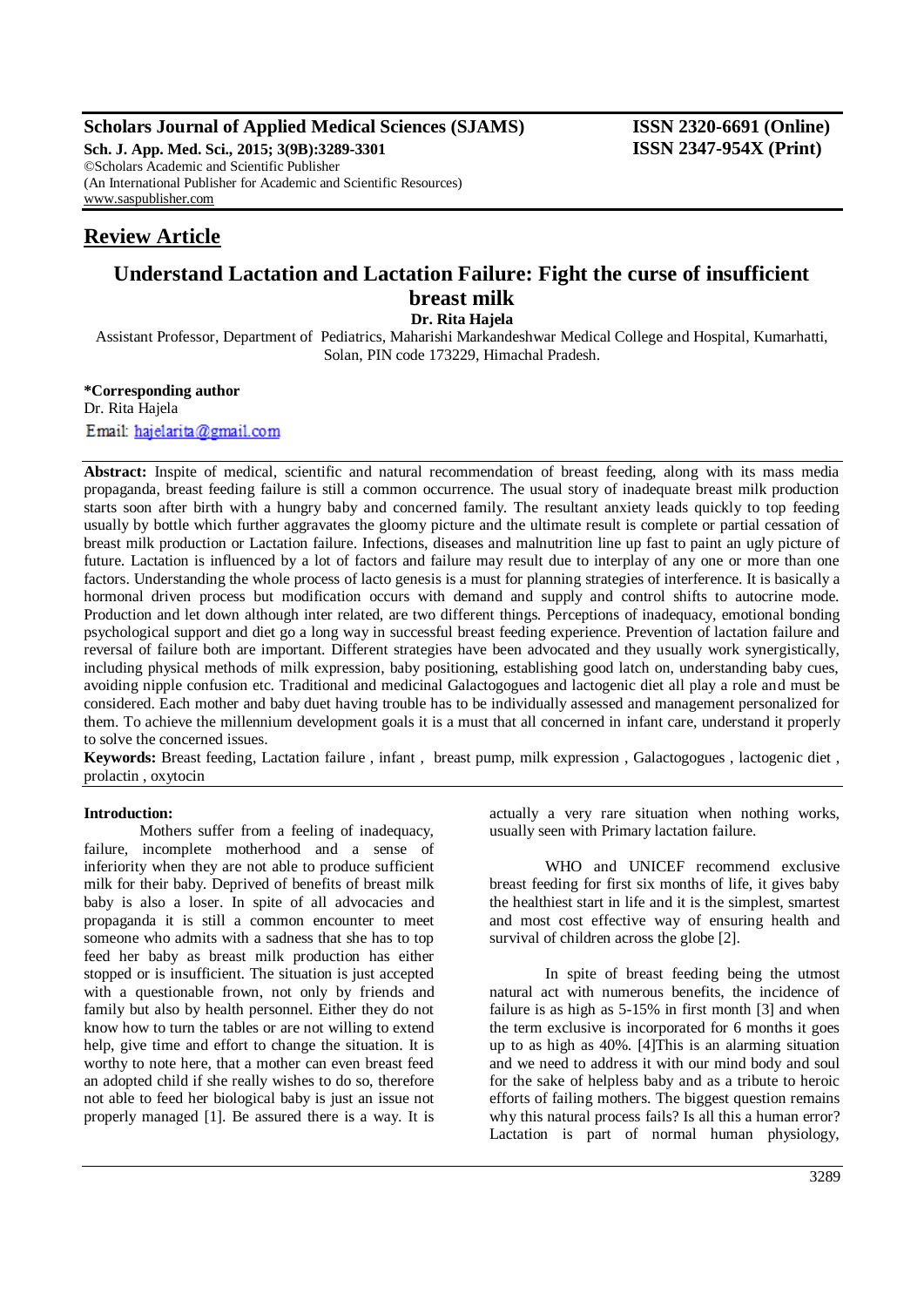# **Scholars Journal of Applied Medical Sciences (SJAMS) ISSN 2320-6691 (Online)**

**Sch. J. App. Med. Sci., 2015; 3(9B):3289-3301 ISSN 2347-954X (Print)** ©Scholars Academic and Scientific Publisher (An International Publisher for Academic and Scientific Resources) [www.saspublisher.com](http://www.saspublisher.com/)

# **Review Article**

# **Understand Lactation and Lactation Failure: Fight the curse of insufficient breast milk**

**Dr. Rita Hajela**

Assistant Professor, Department of Pediatrics, Maharishi Markandeshwar Medical College and Hospital, Kumarhatti, Solan, PIN code 173229, Himachal Pradesh.

**\*Corresponding author**

Dr. Rita Hajela Email: hajelarita@gmail.com

**Abstract:** Inspite of medical, scientific and natural recommendation of breast feeding, along with its mass media propaganda, breast feeding failure is still a common occurrence. The usual story of inadequate breast milk production starts soon after birth with a hungry baby and concerned family. The resultant anxiety leads quickly to top feeding usually by bottle which further aggravates the gloomy picture and the ultimate result is complete or partial cessation of breast milk production or Lactation failure. Infections, diseases and malnutrition line up fast to paint an ugly picture of future. Lactation is influenced by a lot of factors and failure may result due to interplay of any one or more than one factors. Understanding the whole process of lacto genesis is a must for planning strategies of interference. It is basically a hormonal driven process but modification occurs with demand and supply and control shifts to autocrine mode. Production and let down although inter related, are two different things. Perceptions of inadequacy, emotional bonding psychological support and diet go a long way in successful breast feeding experience. Prevention of lactation failure and reversal of failure both are important. Different strategies have been advocated and they usually work synergistically, including physical methods of milk expression, baby positioning, establishing good latch on, understanding baby cues, avoiding nipple confusion etc. Traditional and medicinal Galactogogues and lactogenic diet all play a role and must be considered. Each mother and baby duet having trouble has to be individually assessed and management personalized for them. To achieve the millennium development goals it is a must that all concerned in infant care, understand it properly to solve the concerned issues.

**Keywords:** Breast feeding, Lactation failure , infant , breast pump, milk expression , Galactogogues , lactogenic diet , prolactin , oxytocin

#### **Introduction:**

Mothers suffer from a feeling of inadequacy, failure, incomplete motherhood and a sense of inferiority when they are not able to produce sufficient milk for their baby. Deprived of benefits of breast milk baby is also a loser. In spite of all advocacies and propaganda it is still a common encounter to meet someone who admits with a sadness that she has to top feed her baby as breast milk production has either stopped or is insufficient. The situation is just accepted with a questionable frown, not only by friends and family but also by health personnel. Either they do not know how to turn the tables or are not willing to extend help, give time and effort to change the situation. It is worthy to note here, that a mother can even breast feed an adopted child if she really wishes to do so, therefore not able to feed her biological baby is just an issue not properly managed [1]. Be assured there is a way. It is

actually a very rare situation when nothing works, usually seen with Primary lactation failure.

WHO and UNICEF recommend exclusive breast feeding for first six months of life, it gives baby the healthiest start in life and it is the simplest, smartest and most cost effective way of ensuring health and survival of children across the globe [2].

In spite of breast feeding being the utmost natural act with numerous benefits, the incidence of failure is as high as 5-15% in first month [3] and when the term exclusive is incorporated for 6 months it goes up to as high as 40%. [4]This is an alarming situation and we need to address it with our mind body and soul for the sake of helpless baby and as a tribute to heroic efforts of failing mothers. The biggest question remains why this natural process fails? Is all this a human error? Lactation is part of normal human physiology,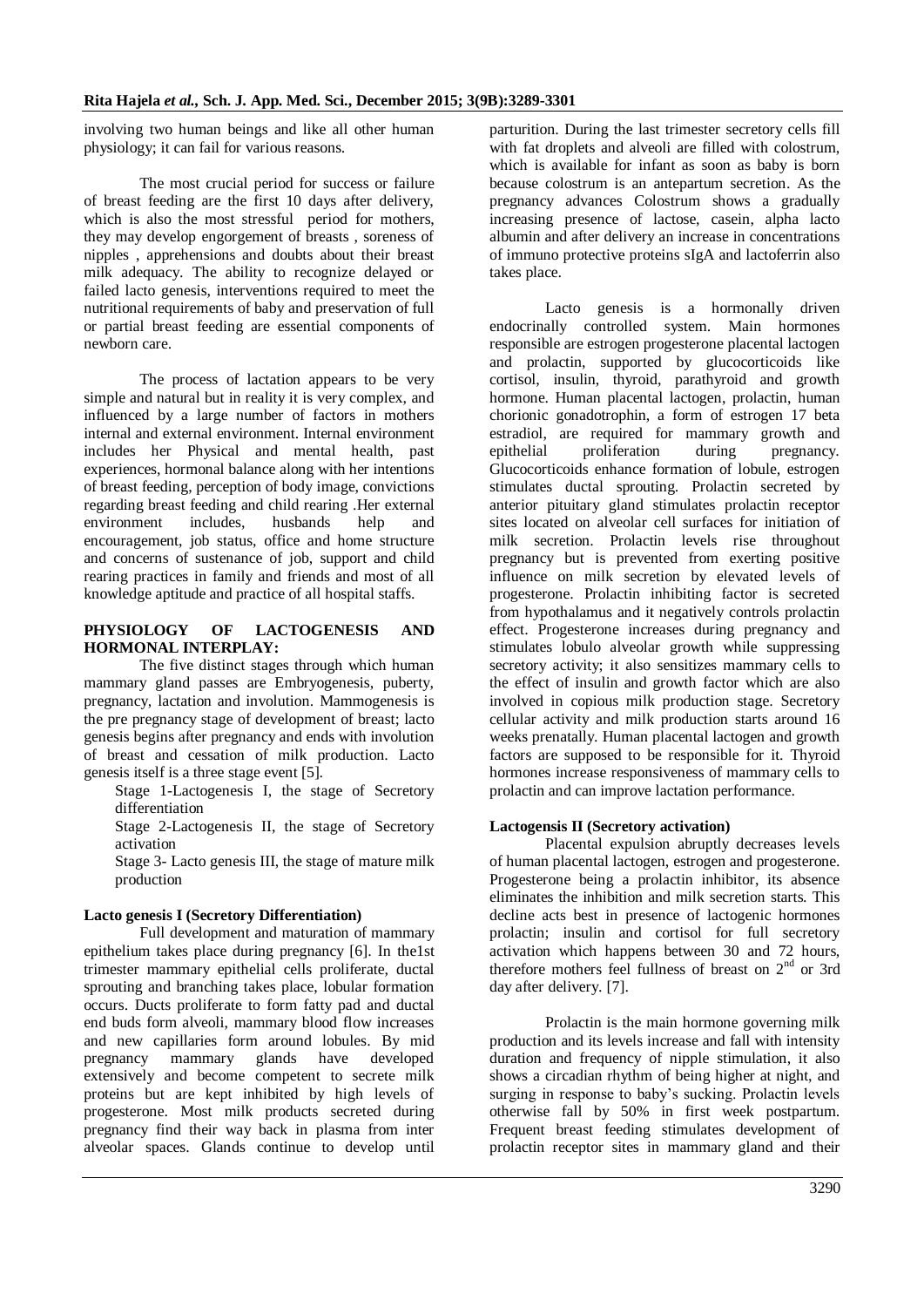involving two human beings and like all other human physiology; it can fail for various reasons.

The most crucial period for success or failure of breast feeding are the first 10 days after delivery, which is also the most stressful period for mothers, they may develop engorgement of breasts , soreness of nipples , apprehensions and doubts about their breast milk adequacy. The ability to recognize delayed or failed lacto genesis, interventions required to meet the nutritional requirements of baby and preservation of full or partial breast feeding are essential components of newborn care.

The process of lactation appears to be very simple and natural but in reality it is very complex, and influenced by a large number of factors in mothers internal and external environment. Internal environment includes her Physical and mental health, past experiences, hormonal balance along with her intentions of breast feeding, perception of body image, convictions regarding breast feeding and child rearing .Her external environment includes, husbands help and encouragement, job status, office and home structure and concerns of sustenance of job, support and child rearing practices in family and friends and most of all knowledge aptitude and practice of all hospital staffs.

# **PHYSIOLOGY OF LACTOGENESIS AND HORMONAL INTERPLAY:**

The five distinct stages through which human mammary gland passes are Embryogenesis, puberty, pregnancy, lactation and involution. Mammogenesis is the pre pregnancy stage of development of breast; lacto genesis begins after pregnancy and ends with involution of breast and cessation of milk production. Lacto genesis itself is a three stage event [5].

Stage 1-Lactogenesis I, the stage of Secretory differentiation

Stage 2-Lactogenesis II, the stage of Secretory activation

Stage 3- Lacto genesis III, the stage of mature milk production

# **Lacto genesis I (Secretory Differentiation)**

Full development and maturation of mammary epithelium takes place during pregnancy [6]. In the1st trimester mammary epithelial cells proliferate, ductal sprouting and branching takes place, lobular formation occurs. Ducts proliferate to form fatty pad and ductal end buds form alveoli, mammary blood flow increases and new capillaries form around lobules. By mid pregnancy mammary glands have developed extensively and become competent to secrete milk proteins but are kept inhibited by high levels of progesterone. Most milk products secreted during pregnancy find their way back in plasma from inter alveolar spaces. Glands continue to develop until parturition. During the last trimester secretory cells fill with fat droplets and alveoli are filled with colostrum, which is available for infant as soon as baby is born because colostrum is an antepartum secretion. As the pregnancy advances Colostrum shows a gradually increasing presence of lactose, casein, alpha lacto albumin and after delivery an increase in concentrations of immuno protective proteins sIgA and lactoferrin also takes place.

Lacto genesis is a hormonally driven endocrinally controlled system. Main hormones responsible are estrogen progesterone placental lactogen and prolactin, supported by glucocorticoids like cortisol, insulin, thyroid, parathyroid and growth hormone. Human placental lactogen, prolactin, human chorionic gonadotrophin, a form of estrogen 17 beta estradiol, are required for mammary growth and epithelial proliferation during pregnancy. Glucocorticoids enhance formation of lobule, estrogen stimulates ductal sprouting. Prolactin secreted by anterior pituitary gland stimulates prolactin receptor sites located on alveolar cell surfaces for initiation of milk secretion. Prolactin levels rise throughout pregnancy but is prevented from exerting positive influence on milk secretion by elevated levels of progesterone. Prolactin inhibiting factor is secreted from hypothalamus and it negatively controls prolactin effect. Progesterone increases during pregnancy and stimulates lobulo alveolar growth while suppressing secretory activity; it also sensitizes mammary cells to the effect of insulin and growth factor which are also involved in copious milk production stage. Secretory cellular activity and milk production starts around 16 weeks prenatally. Human placental lactogen and growth factors are supposed to be responsible for it. Thyroid hormones increase responsiveness of mammary cells to prolactin and can improve lactation performance.

# **Lactogensis II (Secretory activation)**

Placental expulsion abruptly decreases levels of human placental lactogen, estrogen and progesterone. Progesterone being a prolactin inhibitor, its absence eliminates the inhibition and milk secretion starts. This decline acts best in presence of lactogenic hormones prolactin; insulin and cortisol for full secretory activation which happens between 30 and 72 hours, therefore mothers feel fullness of breast on 2nd or 3rd day after delivery. [7].

Prolactin is the main hormone governing milk production and its levels increase and fall with intensity duration and frequency of nipple stimulation, it also shows a circadian rhythm of being higher at night, and surging in response to baby's sucking. Prolactin levels otherwise fall by 50% in first week postpartum. Frequent breast feeding stimulates development of prolactin receptor sites in mammary gland and their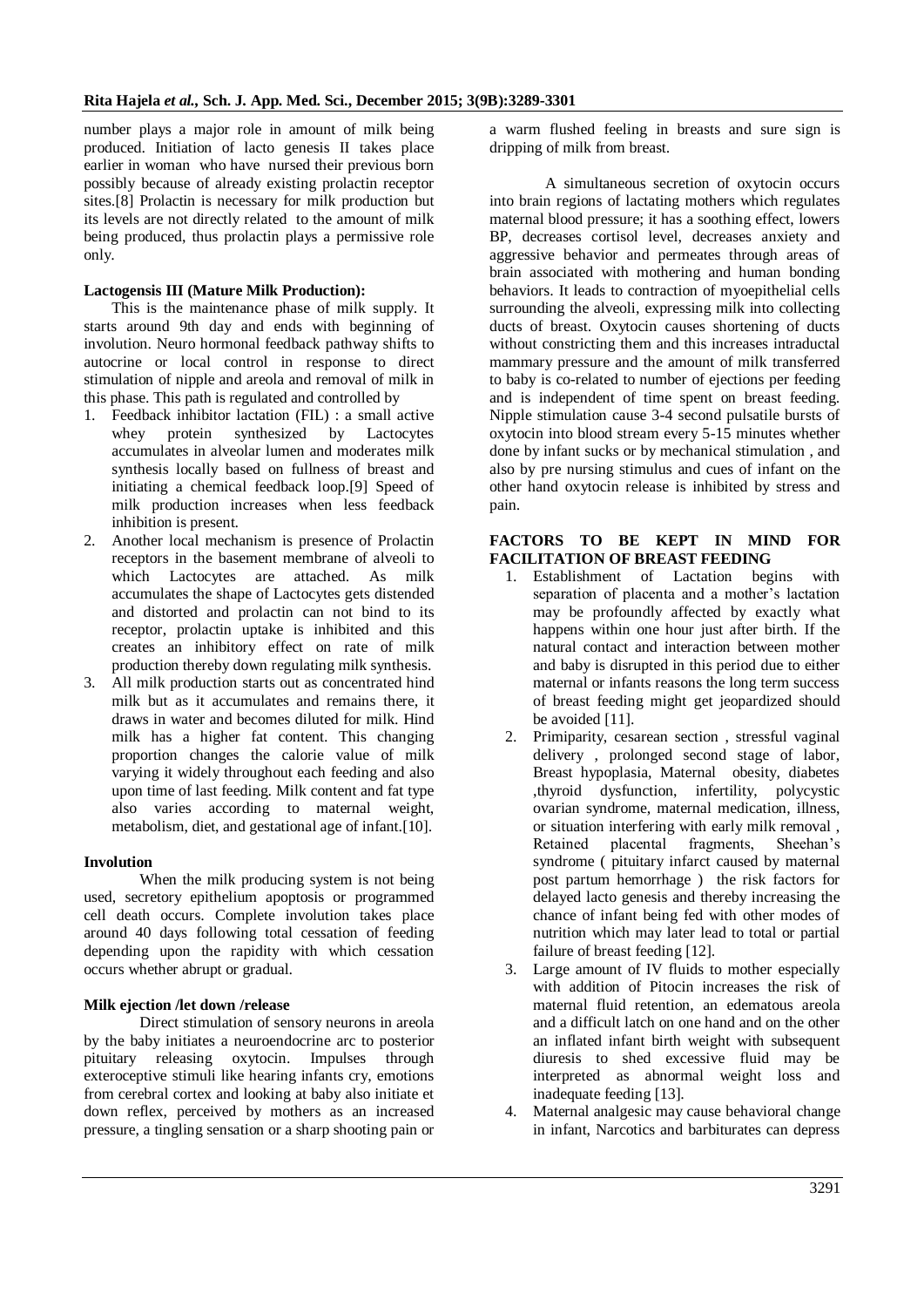number plays a major role in amount of milk being produced. Initiation of lacto genesis II takes place earlier in woman who have nursed their previous born possibly because of already existing prolactin receptor sites.<sup>[8]</sup> Prolactin is necessary for milk production but its levels are not directly related to the amount of milk being produced, thus prolactin plays a permissive role only.

# **Lactogensis III (Mature Milk Production):**

This is the maintenance phase of milk supply. It starts around 9th day and ends with beginning of involution. Neuro hormonal feedback pathway shifts to autocrine or local control in response to direct stimulation of nipple and areola and removal of milk in this phase. This path is regulated and controlled by

- 1. Feedback inhibitor lactation (FIL) : a small active whey protein synthesized by Lactocytes accumulates in alveolar lumen and moderates milk synthesis locally based on fullness of breast and initiating a chemical feedback loop.[9] Speed of milk production increases when less feedback inhibition is present.
- 2. Another local mechanism is presence of Prolactin receptors in the basement membrane of alveoli to which Lactocytes are attached. As milk accumulates the shape of Lactocytes gets distended and distorted and prolactin can not bind to its receptor, prolactin uptake is inhibited and this creates an inhibitory effect on rate of milk production thereby down regulating milk synthesis.
- 3. All milk production starts out as concentrated hind milk but as it accumulates and remains there, it draws in water and becomes diluted for milk. Hind milk has a higher fat content. This changing proportion changes the calorie value of milk varying it widely throughout each feeding and also upon time of last feeding. Milk content and fat type also varies according to maternal weight, metabolism, diet, and gestational age of infant.[10].

# **Involution**

When the milk producing system is not being used, secretory epithelium apoptosis or programmed cell death occurs. Complete involution takes place around 40 days following total cessation of feeding depending upon the rapidity with which cessation occurs whether abrupt or gradual.

# **Milk ejection /let down /release**

Direct stimulation of sensory neurons in areola by the baby initiates a neuroendocrine arc to posterior pituitary releasing oxytocin. Impulses through exteroceptive stimuli like hearing infants cry, emotions from cerebral cortex and looking at baby also initiate et down reflex, perceived by mothers as an increased pressure, a tingling sensation or a sharp shooting pain or

a warm flushed feeling in breasts and sure sign is dripping of milk from breast.

A simultaneous secretion of oxytocin occurs into brain regions of lactating mothers which regulates maternal blood pressure; it has a soothing effect, lowers BP, decreases cortisol level, decreases anxiety and aggressive behavior and permeates through areas of brain associated with mothering and human bonding behaviors. It leads to contraction of myoepithelial cells surrounding the alveoli, expressing milk into collecting ducts of breast. Oxytocin causes shortening of ducts without constricting them and this increases intraductal mammary pressure and the amount of milk transferred to baby is co-related to number of ejections per feeding and is independent of time spent on breast feeding. Nipple stimulation cause 3-4 second pulsatile bursts of oxytocin into blood stream every 5-15 minutes whether done by infant sucks or by mechanical stimulation , and also by pre nursing stimulus and cues of infant on the other hand oxytocin release is inhibited by stress and pain.

#### **FACTORS TO BE KEPT IN MIND FOR FACILITATION OF BREAST FEEDING**

- 1. Establishment of Lactation begins with separation of placenta and a mother's lactation may be profoundly affected by exactly what happens within one hour just after birth. If the natural contact and interaction between mother and baby is disrupted in this period due to either maternal or infants reasons the long term success of breast feeding might get jeopardized should be avoided [11].
- 2. Primiparity, cesarean section , stressful vaginal delivery , prolonged second stage of labor, Breast hypoplasia, Maternal obesity, diabetes ,thyroid dysfunction, infertility, polycystic ovarian syndrome, maternal medication, illness, or situation interfering with early milk removal , Retained placental fragments, Sheehan's syndrome ( pituitary infarct caused by maternal post partum hemorrhage ) the risk factors for delayed lacto genesis and thereby increasing the chance of infant being fed with other modes of nutrition which may later lead to total or partial failure of breast feeding [12].
- 3. Large amount of IV fluids to mother especially with addition of Pitocin increases the risk of maternal fluid retention, an edematous areola and a difficult latch on one hand and on the other an inflated infant birth weight with subsequent diuresis to shed excessive fluid may be interpreted as abnormal weight loss and inadequate feeding [13].
- 4. Maternal analgesic may cause behavioral change in infant, Narcotics and barbiturates can depress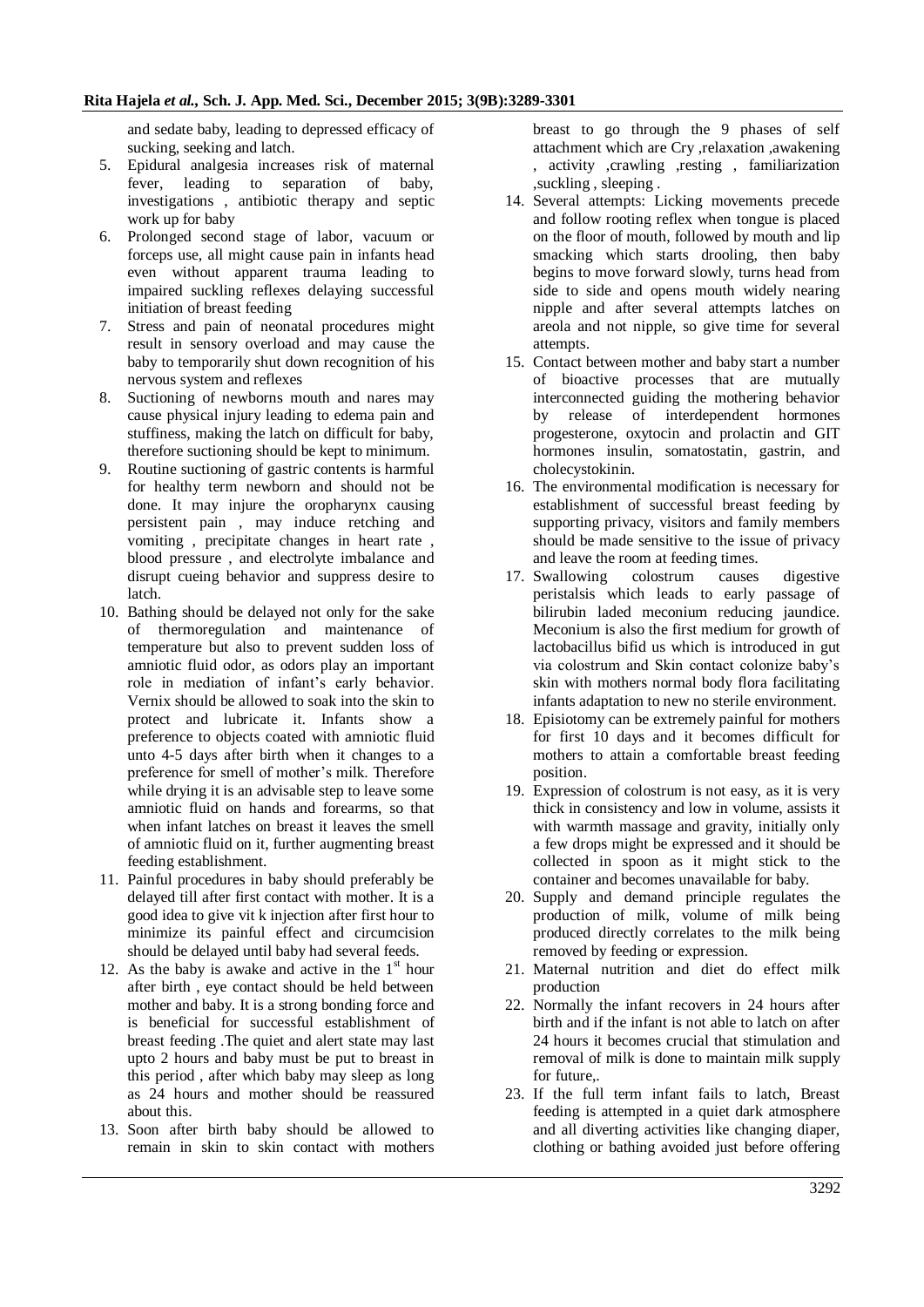and sedate baby, leading to depressed efficacy of sucking, seeking and latch.

- 5. Epidural analgesia increases risk of maternal fever, leading to separation of baby, investigations , antibiotic therapy and septic work up for baby
- 6. Prolonged second stage of labor, vacuum or forceps use, all might cause pain in infants head even without apparent trauma leading to impaired suckling reflexes delaying successful initiation of breast feeding
- 7. Stress and pain of neonatal procedures might result in sensory overload and may cause the baby to temporarily shut down recognition of his nervous system and reflexes
- 8. Suctioning of newborns mouth and nares may cause physical injury leading to edema pain and stuffiness, making the latch on difficult for baby, therefore suctioning should be kept to minimum.
- 9. Routine suctioning of gastric contents is harmful for healthy term newborn and should not be done. It may injure the oropharynx causing persistent pain , may induce retching and vomiting , precipitate changes in heart rate , blood pressure , and electrolyte imbalance and disrupt cueing behavior and suppress desire to latch.
- 10. Bathing should be delayed not only for the sake of thermoregulation and maintenance of temperature but also to prevent sudden loss of amniotic fluid odor, as odors play an important role in mediation of infant's early behavior. Vernix should be allowed to soak into the skin to protect and lubricate it. Infants show a preference to objects coated with amniotic fluid unto 4-5 days after birth when it changes to a preference for smell of mother's milk. Therefore while drying it is an advisable step to leave some amniotic fluid on hands and forearms, so that when infant latches on breast it leaves the smell of amniotic fluid on it, further augmenting breast feeding establishment.
- 11. Painful procedures in baby should preferably be delayed till after first contact with mother. It is a good idea to give vit k injection after first hour to minimize its painful effect and circumcision should be delayed until baby had several feeds.
- 12. As the baby is awake and active in the  $1<sup>st</sup>$  hour after birth , eye contact should be held between mother and baby. It is a strong bonding force and is beneficial for successful establishment of breast feeding .The quiet and alert state may last upto 2 hours and baby must be put to breast in this period , after which baby may sleep as long as 24 hours and mother should be reassured about this.
- 13. Soon after birth baby should be allowed to remain in skin to skin contact with mothers

breast to go through the 9 phases of self attachment which are Cry ,relaxation ,awakening , activity ,crawling ,resting , familiarization ,suckling , sleeping .

- 14. Several attempts: Licking movements precede and follow rooting reflex when tongue is placed on the floor of mouth, followed by mouth and lip smacking which starts drooling, then baby begins to move forward slowly, turns head from side to side and opens mouth widely nearing nipple and after several attempts latches on areola and not nipple, so give time for several attempts.
- 15. Contact between mother and baby start a number of bioactive processes that are mutually interconnected guiding the mothering behavior by release of interdependent hormones progesterone, oxytocin and prolactin and GIT hormones insulin, somatostatin, gastrin, and cholecystokinin.
- 16. The environmental modification is necessary for establishment of successful breast feeding by supporting privacy, visitors and family members should be made sensitive to the issue of privacy and leave the room at feeding times.
- 17. Swallowing colostrum causes digestive peristalsis which leads to early passage of bilirubin laded meconium reducing jaundice. Meconium is also the first medium for growth of lactobacillus bifid us which is introduced in gut via colostrum and Skin contact colonize baby's skin with mothers normal body flora facilitating infants adaptation to new no sterile environment.
- 18. Episiotomy can be extremely painful for mothers for first 10 days and it becomes difficult for mothers to attain a comfortable breast feeding position.
- 19. Expression of colostrum is not easy, as it is very thick in consistency and low in volume, assists it with warmth massage and gravity, initially only a few drops might be expressed and it should be collected in spoon as it might stick to the container and becomes unavailable for baby.
- 20. Supply and demand principle regulates the production of milk, volume of milk being produced directly correlates to the milk being removed by feeding or expression.
- 21. Maternal nutrition and diet do effect milk production
- 22. Normally the infant recovers in 24 hours after birth and if the infant is not able to latch on after 24 hours it becomes crucial that stimulation and removal of milk is done to maintain milk supply for future
- 23. If the full term infant fails to latch, Breast feeding is attempted in a quiet dark atmosphere and all diverting activities like changing diaper, clothing or bathing avoided just before offering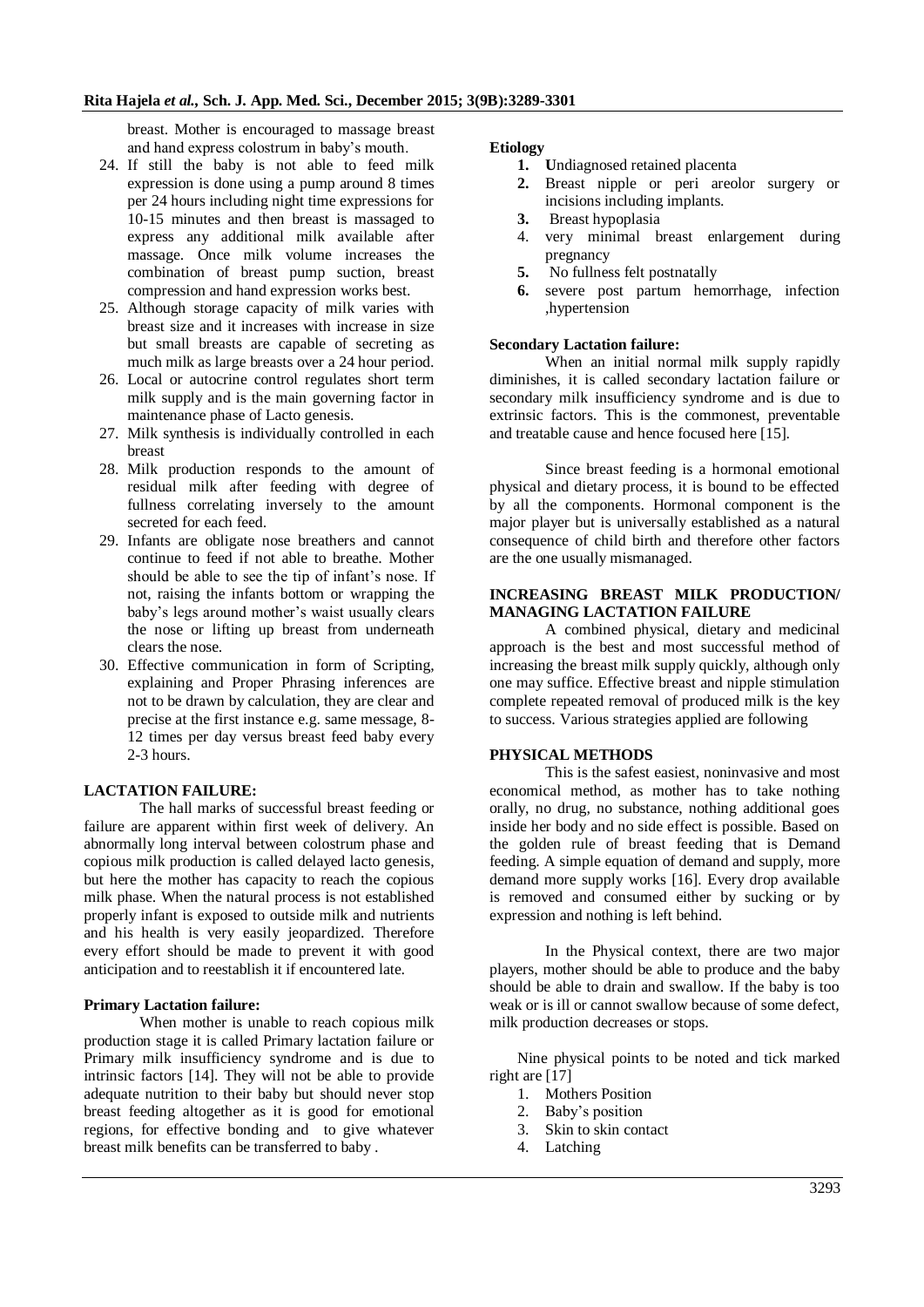breast. Mother is encouraged to massage breast and hand express colostrum in baby's mouth.

- 24. If still the baby is not able to feed milk expression is done using a pump around 8 times per 24 hours including night time expressions for 10-15 minutes and then breast is massaged to express any additional milk available after massage. Once milk volume increases the combination of breast pump suction, breast compression and hand expression works best.
- 25. Although storage capacity of milk varies with breast size and it increases with increase in size but small breasts are capable of secreting as much milk as large breasts over a 24 hour period.
- 26. Local or autocrine control regulates short term milk supply and is the main governing factor in maintenance phase of Lacto genesis.
- 27. Milk synthesis is individually controlled in each breast
- 28. Milk production responds to the amount of residual milk after feeding with degree of fullness correlating inversely to the amount secreted for each feed.
- 29. Infants are obligate nose breathers and cannot continue to feed if not able to breathe. Mother should be able to see the tip of infant's nose. If not, raising the infants bottom or wrapping the baby's legs around mother's waist usually clears the nose or lifting up breast from underneath clears the nose.
- 30. Effective communication in form of Scripting, explaining and Proper Phrasing inferences are not to be drawn by calculation, they are clear and precise at the first instance e.g. same message, 8- 12 times per day versus breast feed baby every 2-3 hours.

# **LACTATION FAILURE:**

The hall marks of successful breast feeding or failure are apparent within first week of delivery. An abnormally long interval between colostrum phase and copious milk production is called delayed lacto genesis, but here the mother has capacity to reach the copious milk phase. When the natural process is not established properly infant is exposed to outside milk and nutrients and his health is very easily jeopardized. Therefore every effort should be made to prevent it with good anticipation and to reestablish it if encountered late.

#### **Primary Lactation failure:**

When mother is unable to reach copious milk production stage it is called Primary lactation failure or Primary milk insufficiency syndrome and is due to intrinsic factors [14]. They will not be able to provide adequate nutrition to their baby but should never stop breast feeding altogether as it is good for emotional regions, for effective bonding and to give whatever breast milk benefits can be transferred to baby .

# **Etiology**

- **1. U**ndiagnosed retained placenta
- **2.** Breast nipple or peri areolor surgery or incisions including implants.
- **3.** Breast hypoplasia
- 4. very minimal breast enlargement during pregnancy
- **5.** No fullness felt postnatally
- **6.** severe post partum hemorrhage, infection ,hypertension

#### **Secondary Lactation failure:**

When an initial normal milk supply rapidly diminishes, it is called secondary lactation failure or secondary milk insufficiency syndrome and is due to extrinsic factors. This is the commonest, preventable and treatable cause and hence focused here [15].

Since breast feeding is a hormonal emotional physical and dietary process, it is bound to be effected by all the components. Hormonal component is the major player but is universally established as a natural consequence of child birth and therefore other factors are the one usually mismanaged.

# **INCREASING BREAST MILK PRODUCTION/ MANAGING LACTATION FAILURE**

A combined physical, dietary and medicinal approach is the best and most successful method of increasing the breast milk supply quickly, although only one may suffice. Effective breast and nipple stimulation complete repeated removal of produced milk is the key to success. Various strategies applied are following

# **PHYSICAL METHODS**

This is the safest easiest, noninvasive and most economical method, as mother has to take nothing orally, no drug, no substance, nothing additional goes inside her body and no side effect is possible. Based on the golden rule of breast feeding that is Demand feeding. A simple equation of demand and supply, more demand more supply works [16]. Every drop available is removed and consumed either by sucking or by expression and nothing is left behind.

In the Physical context, there are two major players, mother should be able to produce and the baby should be able to drain and swallow. If the baby is too weak or is ill or cannot swallow because of some defect, milk production decreases or stops.

Nine physical points to be noted and tick marked right are [17]

- 1. Mothers Position
- 2. Baby's position
- 3. Skin to skin contact
- 4. Latching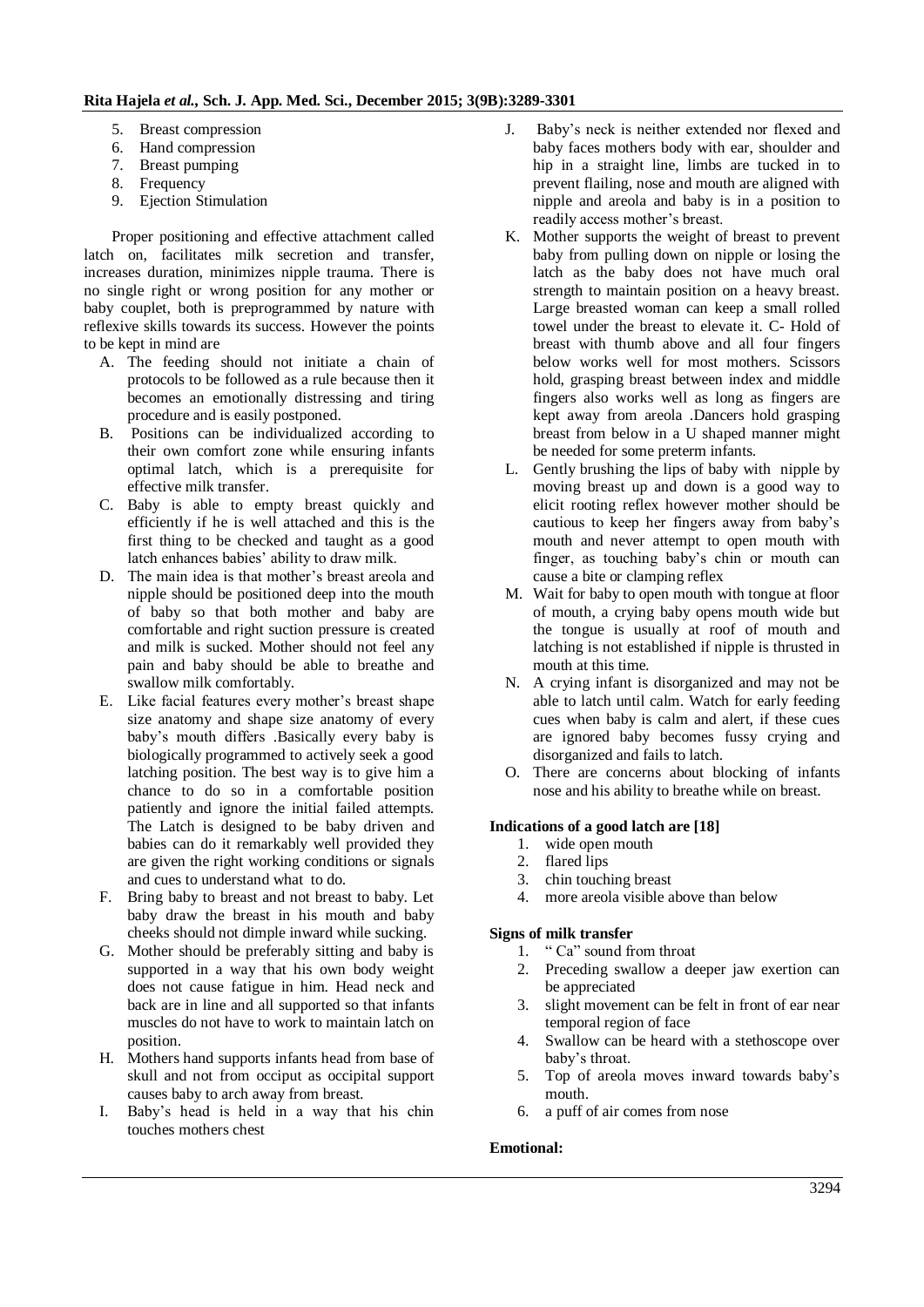- 5. Breast compression
- 6. Hand compression
- 7. Breast pumping
- 8. Frequency
- 9. Ejection Stimulation

Proper positioning and effective attachment called latch on, facilitates milk secretion and transfer, increases duration, minimizes nipple trauma. There is no single right or wrong position for any mother or baby couplet, both is preprogrammed by nature with reflexive skills towards its success. However the points to be kept in mind are

- A. The feeding should not initiate a chain of protocols to be followed as a rule because then it becomes an emotionally distressing and tiring procedure and is easily postponed.
- B. Positions can be individualized according to their own comfort zone while ensuring infants optimal latch, which is a prerequisite for effective milk transfer.
- C. Baby is able to empty breast quickly and efficiently if he is well attached and this is the first thing to be checked and taught as a good latch enhances babies' ability to draw milk.
- D. The main idea is that mother's breast areola and nipple should be positioned deep into the mouth of baby so that both mother and baby are comfortable and right suction pressure is created and milk is sucked. Mother should not feel any pain and baby should be able to breathe and swallow milk comfortably.
- E. Like facial features every mother's breast shape size anatomy and shape size anatomy of every baby's mouth differs .Basically every baby is biologically programmed to actively seek a good latching position. The best way is to give him a chance to do so in a comfortable position patiently and ignore the initial failed attempts. The Latch is designed to be baby driven and babies can do it remarkably well provided they are given the right working conditions or signals and cues to understand what to do.
- F. Bring baby to breast and not breast to baby. Let baby draw the breast in his mouth and baby cheeks should not dimple inward while sucking.
- G. Mother should be preferably sitting and baby is supported in a way that his own body weight does not cause fatigue in him. Head neck and back are in line and all supported so that infants muscles do not have to work to maintain latch on position.
- H. Mothers hand supports infants head from base of skull and not from occiput as occipital support causes baby to arch away from breast.
- I. Baby's head is held in a way that his chin touches mothers chest
- J. Baby's neck is neither extended nor flexed and baby faces mothers body with ear, shoulder and hip in a straight line, limbs are tucked in to prevent flailing, nose and mouth are aligned with nipple and areola and baby is in a position to readily access mother's breast.
- K. Mother supports the weight of breast to prevent baby from pulling down on nipple or losing the latch as the baby does not have much oral strength to maintain position on a heavy breast. Large breasted woman can keep a small rolled towel under the breast to elevate it. C- Hold of breast with thumb above and all four fingers below works well for most mothers. Scissors hold, grasping breast between index and middle fingers also works well as long as fingers are kept away from areola .Dancers hold grasping breast from below in a U shaped manner might be needed for some preterm infants.
- L. Gently brushing the lips of baby with nipple by moving breast up and down is a good way to elicit rooting reflex however mother should be cautious to keep her fingers away from baby's mouth and never attempt to open mouth with finger, as touching baby's chin or mouth can cause a bite or clamping reflex
- M. Wait for baby to open mouth with tongue at floor of mouth, a crying baby opens mouth wide but the tongue is usually at roof of mouth and latching is not established if nipple is thrusted in mouth at this time.
- N. A crying infant is disorganized and may not be able to latch until calm. Watch for early feeding cues when baby is calm and alert, if these cues are ignored baby becomes fussy crying and disorganized and fails to latch.
- O. There are concerns about blocking of infants nose and his ability to breathe while on breast.

# **Indications of a good latch are [18]**

- 1. wide open mouth
- 2. flared lips
- 3. chin touching breast
- 4. more areola visible above than below

# **Signs of milk transfer**

- 1. " Ca" sound from throat
- 2. Preceding swallow a deeper jaw exertion can be appreciated
- 3. slight movement can be felt in front of ear near temporal region of face
- 4. Swallow can be heard with a stethoscope over baby's throat.
- 5. Top of areola moves inward towards baby's mouth.
- 6. a puff of air comes from nose

# **Emotional:**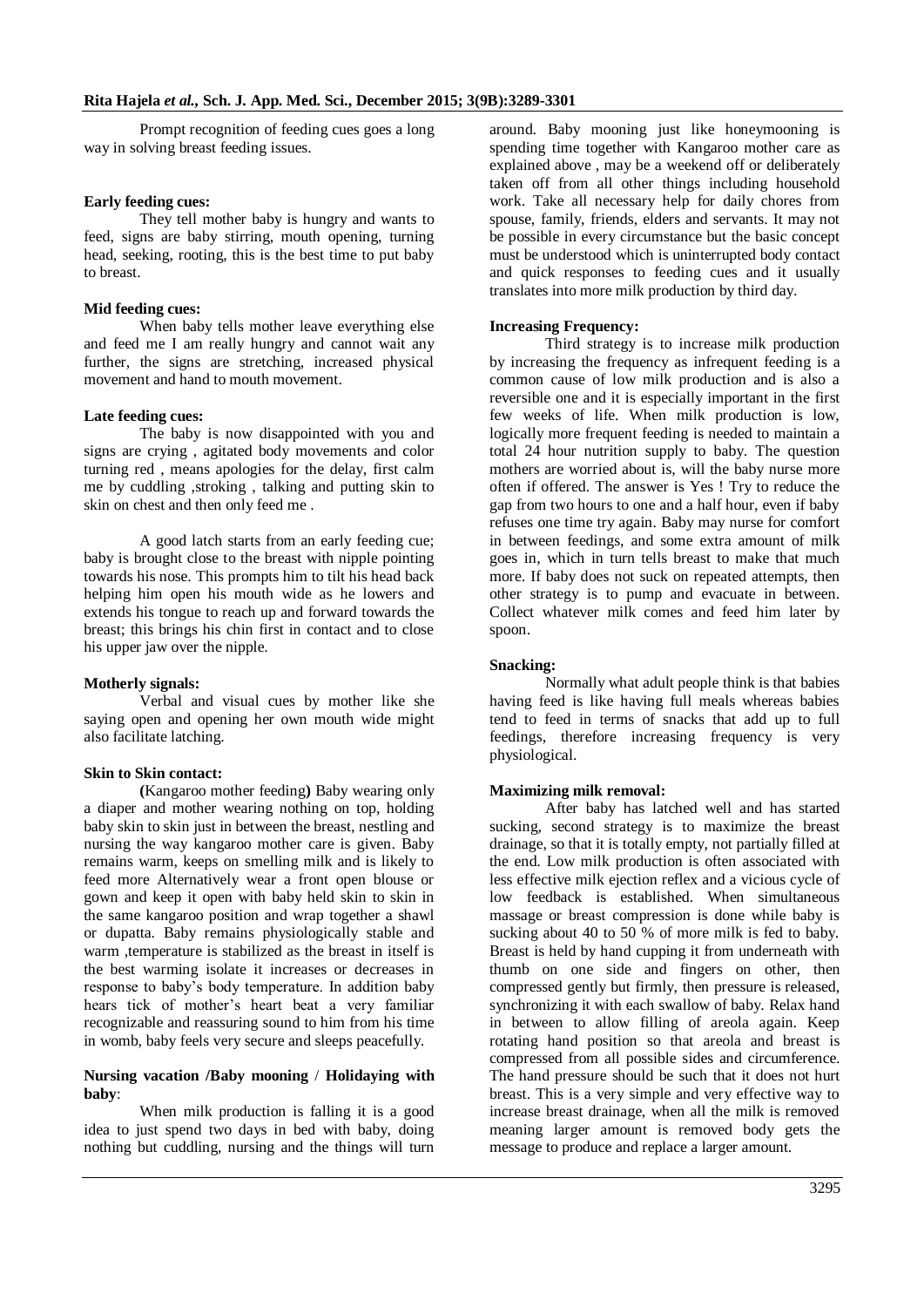Prompt recognition of feeding cues goes a long way in solving breast feeding issues.

# **Early feeding cues:**

They tell mother baby is hungry and wants to feed, signs are baby stirring, mouth opening, turning head, seeking, rooting, this is the best time to put baby to breast.

#### **Mid feeding cues:**

When baby tells mother leave everything else and feed me I am really hungry and cannot wait any further, the signs are stretching, increased physical movement and hand to mouth movement.

#### **Late feeding cues:**

The baby is now disappointed with you and signs are crying , agitated body movements and color turning red , means apologies for the delay, first calm me by cuddling ,stroking , talking and putting skin to skin on chest and then only feed me .

A good latch starts from an early feeding cue; baby is brought close to the breast with nipple pointing towards his nose. This prompts him to tilt his head back helping him open his mouth wide as he lowers and extends his tongue to reach up and forward towards the breast; this brings his chin first in contact and to close his upper jaw over the nipple.

#### **Motherly signals:**

Verbal and visual cues by mother like she saying open and opening her own mouth wide might also facilitate latching.

#### **Skin to Skin contact:**

**(**Kangaroo mother feeding**)** Baby wearing only a diaper and mother wearing nothing on top, holding baby skin to skin just in between the breast, nestling and nursing the way kangaroo mother care is given. Baby remains warm, keeps on smelling milk and is likely to feed more Alternatively wear a front open blouse or gown and keep it open with baby held skin to skin in the same kangaroo position and wrap together a shawl or dupatta. Baby remains physiologically stable and warm ,temperature is stabilized as the breast in itself is the best warming isolate it increases or decreases in response to baby's body temperature. In addition baby hears tick of mother's heart beat a very familiar recognizable and reassuring sound to him from his time in womb, baby feels very secure and sleeps peacefully.

#### **Nursing vacation /Baby mooning** / **Holidaying with baby**:

When milk production is falling it is a good idea to just spend two days in bed with baby, doing nothing but cuddling, nursing and the things will turn around. Baby mooning just like honeymooning is spending time together with Kangaroo mother care as explained above , may be a weekend off or deliberately taken off from all other things including household work. Take all necessary help for daily chores from spouse, family, friends, elders and servants. It may not be possible in every circumstance but the basic concept must be understood which is uninterrupted body contact and quick responses to feeding cues and it usually translates into more milk production by third day.

#### **Increasing Frequency:**

Third strategy is to increase milk production by increasing the frequency as infrequent feeding is a common cause of low milk production and is also a reversible one and it is especially important in the first few weeks of life. When milk production is low, logically more frequent feeding is needed to maintain a total 24 hour nutrition supply to baby. The question mothers are worried about is, will the baby nurse more often if offered. The answer is Yes ! Try to reduce the gap from two hours to one and a half hour, even if baby refuses one time try again. Baby may nurse for comfort in between feedings, and some extra amount of milk goes in, which in turn tells breast to make that much more. If baby does not suck on repeated attempts, then other strategy is to pump and evacuate in between. Collect whatever milk comes and feed him later by spoon.

#### **Snacking:**

Normally what adult people think is that babies having feed is like having full meals whereas babies tend to feed in terms of snacks that add up to full feedings, therefore increasing frequency is very physiological.

#### **Maximizing milk removal:**

After baby has latched well and has started sucking, second strategy is to maximize the breast drainage, so that it is totally empty, not partially filled at the end. Low milk production is often associated with less effective milk ejection reflex and a vicious cycle of low feedback is established. When simultaneous massage or breast compression is done while baby is sucking about 40 to 50 % of more milk is fed to baby. Breast is held by hand cupping it from underneath with thumb on one side and fingers on other, then compressed gently but firmly, then pressure is released, synchronizing it with each swallow of baby. Relax hand in between to allow filling of areola again. Keep rotating hand position so that areola and breast is compressed from all possible sides and circumference. The hand pressure should be such that it does not hurt breast. This is a very simple and very effective way to increase breast drainage, when all the milk is removed meaning larger amount is removed body gets the message to produce and replace a larger amount.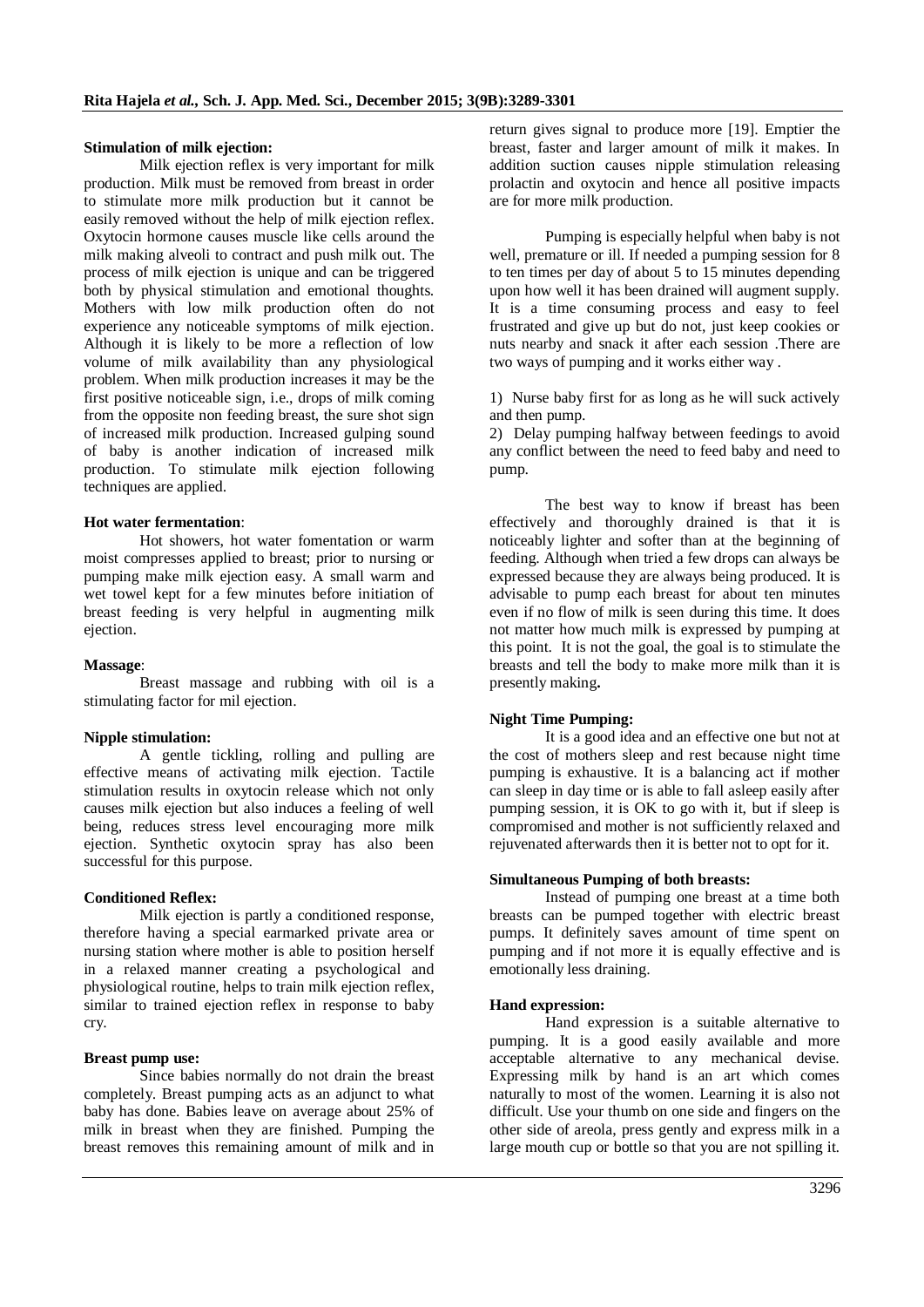#### **Stimulation of milk ejection:**

Milk ejection reflex is very important for milk production. Milk must be removed from breast in order to stimulate more milk production but it cannot be easily removed without the help of milk ejection reflex. Oxytocin hormone causes muscle like cells around the milk making alveoli to contract and push milk out. The process of milk ejection is unique and can be triggered both by physical stimulation and emotional thoughts. Mothers with low milk production often do not experience any noticeable symptoms of milk ejection. Although it is likely to be more a reflection of low volume of milk availability than any physiological problem. When milk production increases it may be the first positive noticeable sign, i.e., drops of milk coming from the opposite non feeding breast, the sure shot sign of increased milk production. Increased gulping sound of baby is another indication of increased milk production. To stimulate milk ejection following techniques are applied.

#### **Hot water fermentation**:

Hot showers, hot water fomentation or warm moist compresses applied to breast; prior to nursing or pumping make milk ejection easy. A small warm and wet towel kept for a few minutes before initiation of breast feeding is very helpful in augmenting milk ejection.

#### **Massage**:

Breast massage and rubbing with oil is a stimulating factor for mil ejection.

#### **Nipple stimulation:**

A gentle tickling, rolling and pulling are effective means of activating milk ejection. Tactile stimulation results in oxytocin release which not only causes milk ejection but also induces a feeling of well being, reduces stress level encouraging more milk ejection. Synthetic oxytocin spray has also been successful for this purpose.

#### **Conditioned Reflex:**

Milk ejection is partly a conditioned response, therefore having a special earmarked private area or nursing station where mother is able to position herself in a relaxed manner creating a psychological and physiological routine, helps to train milk ejection reflex, similar to trained ejection reflex in response to baby cry.

#### **Breast pump use:**

Since babies normally do not drain the breast completely. Breast pumping acts as an adjunct to what baby has done. Babies leave on average about 25% of milk in breast when they are finished. Pumping the breast removes this remaining amount of milk and in return gives signal to produce more [19]. Emptier the breast, faster and larger amount of milk it makes. In addition suction causes nipple stimulation releasing prolactin and oxytocin and hence all positive impacts are for more milk production.

Pumping is especially helpful when baby is not well, premature or ill. If needed a pumping session for 8 to ten times per day of about 5 to 15 minutes depending upon how well it has been drained will augment supply. It is a time consuming process and easy to feel frustrated and give up but do not, just keep cookies or nuts nearby and snack it after each session .There are two ways of pumping and it works either way .

1) Nurse baby first for as long as he will suck actively and then pump.

2) Delay pumping halfway between feedings to avoid any conflict between the need to feed baby and need to pump.

The best way to know if breast has been effectively and thoroughly drained is that it is noticeably lighter and softer than at the beginning of feeding. Although when tried a few drops can always be expressed because they are always being produced. It is advisable to pump each breast for about ten minutes even if no flow of milk is seen during this time. It does not matter how much milk is expressed by pumping at this point. It is not the goal, the goal is to stimulate the breasts and tell the body to make more milk than it is presently making**.** 

# **Night Time Pumping:**

It is a good idea and an effective one but not at the cost of mothers sleep and rest because night time pumping is exhaustive. It is a balancing act if mother can sleep in day time or is able to fall asleep easily after pumping session, it is OK to go with it, but if sleep is compromised and mother is not sufficiently relaxed and rejuvenated afterwards then it is better not to opt for it.

#### **Simultaneous Pumping of both breasts:**

Instead of pumping one breast at a time both breasts can be pumped together with electric breast pumps. It definitely saves amount of time spent on pumping and if not more it is equally effective and is emotionally less draining.

#### **Hand expression:**

Hand expression is a suitable alternative to pumping. It is a good easily available and more acceptable alternative to any mechanical devise. Expressing milk by hand is an art which comes naturally to most of the women. Learning it is also not difficult. Use your thumb on one side and fingers on the other side of areola, press gently and express milk in a large mouth cup or bottle so that you are not spilling it.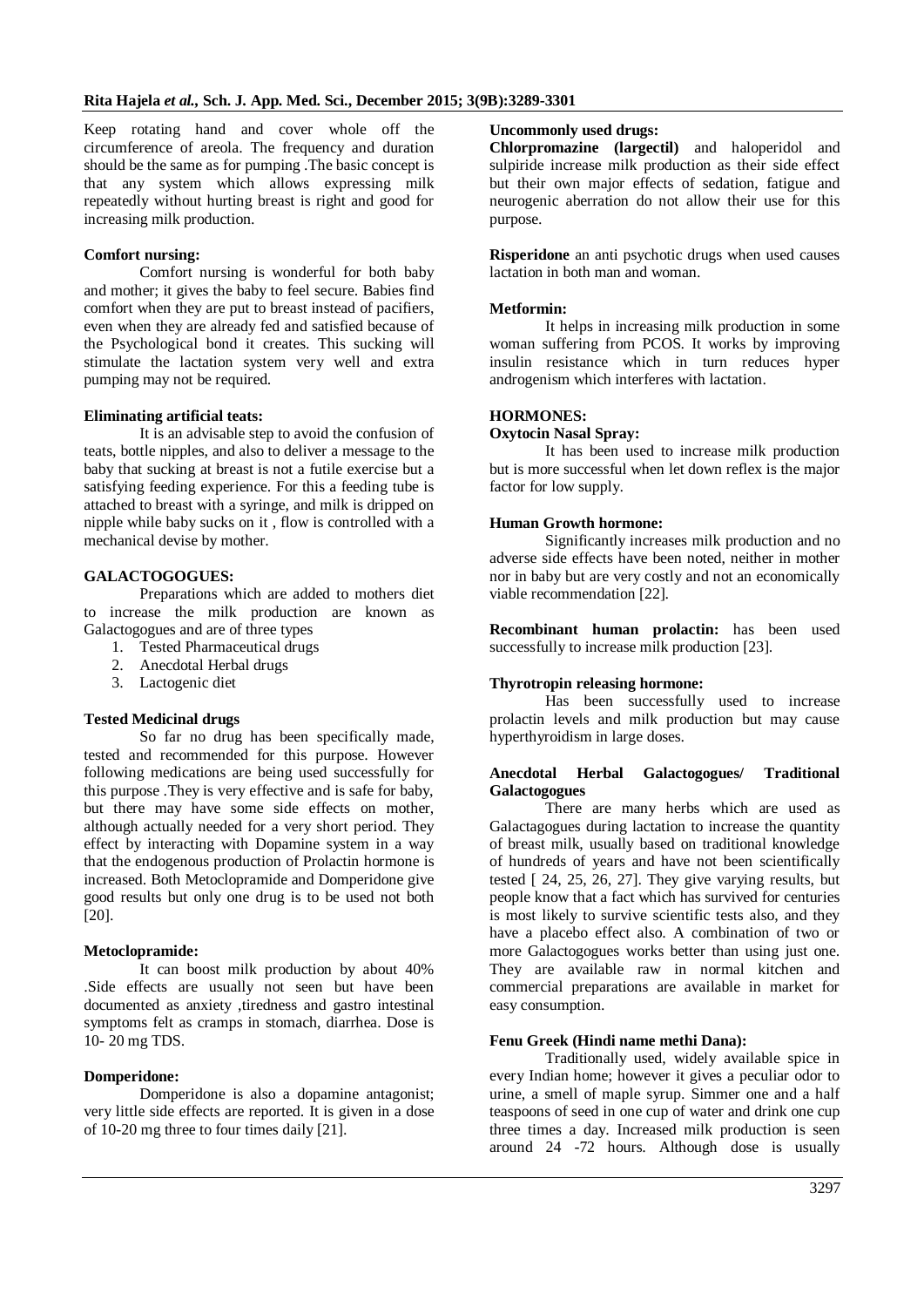Keep rotating hand and cover whole off the circumference of areola. The frequency and duration should be the same as for pumping .The basic concept is that any system which allows expressing milk repeatedly without hurting breast is right and good for increasing milk production.

#### **Comfort nursing:**

Comfort nursing is wonderful for both baby and mother; it gives the baby to feel secure. Babies find comfort when they are put to breast instead of pacifiers, even when they are already fed and satisfied because of the Psychological bond it creates. This sucking will stimulate the lactation system very well and extra pumping may not be required.

#### **Eliminating artificial teats:**

It is an advisable step to avoid the confusion of teats, bottle nipples, and also to deliver a message to the baby that sucking at breast is not a futile exercise but a satisfying feeding experience. For this a feeding tube is attached to breast with a syringe, and milk is dripped on nipple while baby sucks on it , flow is controlled with a mechanical devise by mother.

# **GALACTOGOGUES:**

Preparations which are added to mothers diet to increase the milk production are known as Galactogogues and are of three types

- 1. Tested Pharmaceutical drugs
- 2. Anecdotal Herbal drugs
- 3. Lactogenic diet

#### **Tested Medicinal drugs**

So far no drug has been specifically made, tested and recommended for this purpose. However following medications are being used successfully for this purpose .They is very effective and is safe for baby, but there may have some side effects on mother, although actually needed for a very short period. They effect by interacting with Dopamine system in a way that the endogenous production of Prolactin hormone is increased. Both Metoclopramide and Domperidone give good results but only one drug is to be used not both [20].

#### **Metoclopramide:**

It can boost milk production by about 40% .Side effects are usually not seen but have been documented as anxiety ,tiredness and gastro intestinal symptoms felt as cramps in stomach, diarrhea. Dose is 10- 20 mg TDS.

# **Domperidone:**

Domperidone is also a dopamine antagonist; very little side effects are reported. It is given in a dose of 10-20 mg three to four times daily [21].

#### **Uncommonly used drugs:**

**Chlorpromazine (largectil)** and haloperidol and sulpiride increase milk production as their side effect but their own major effects of sedation, fatigue and neurogenic aberration do not allow their use for this purpose.

**Risperidone** an anti psychotic drugs when used causes lactation in both man and woman.

# **Metformin:**

It helps in increasing milk production in some woman suffering from PCOS. It works by improving insulin resistance which in turn reduces hyper androgenism which interferes with lactation.

#### **HORMONES:**

#### **Oxytocin Nasal Spray:**

It has been used to increase milk production but is more successful when let down reflex is the major factor for low supply.

#### **Human Growth hormone:**

Significantly increases milk production and no adverse side effects have been noted, neither in mother nor in baby but are very costly and not an economically viable recommendation [22].

**Recombinant human prolactin:** has been used successfully to increase milk production [23].

# **Thyrotropin releasing hormone:**

Has been successfully used to increase prolactin levels and milk production but may cause hyperthyroidism in large doses.

#### **Anecdotal Herbal Galactogogues/ Traditional Galactogogues**

There are many herbs which are used as Galactagogues during lactation to increase the quantity of breast milk, usually based on traditional knowledge of hundreds of years and have not been scientifically tested  $\lceil 24, 25, 26, 27 \rceil$ . They give varying results, but people know that a fact which has survived for centuries is most likely to survive scientific tests also, and they have a placebo effect also. A combination of two or more Galactogogues works better than using just one. They are available raw in normal kitchen and commercial preparations are available in market for easy consumption.

# **Fenu Greek (Hindi name methi Dana):**

Traditionally used, widely available spice in every Indian home; however it gives a peculiar odor to urine, a smell of maple syrup. Simmer one and a half teaspoons of seed in one cup of water and drink one cup three times a day. Increased milk production is seen around 24 -72 hours. Although dose is usually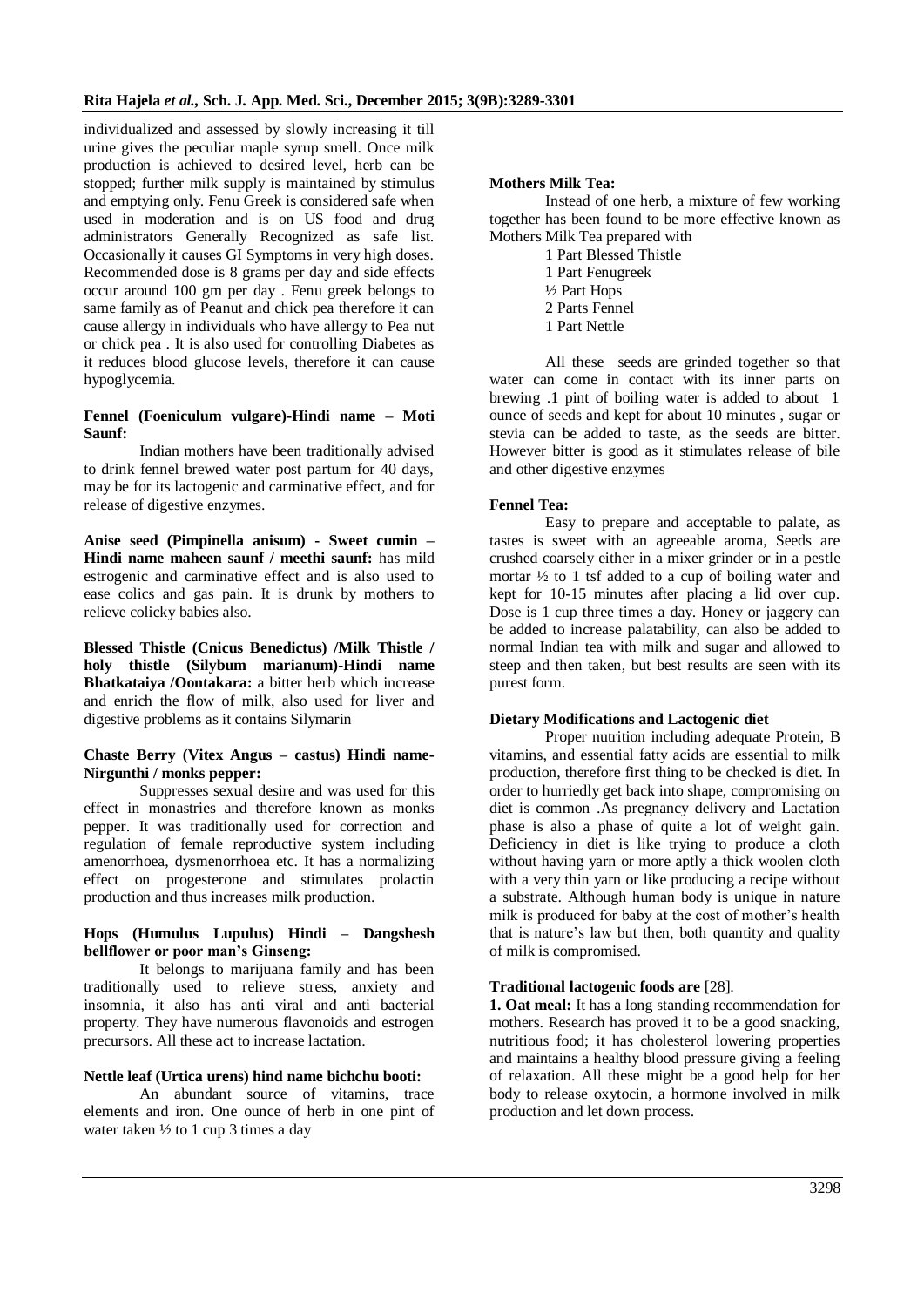individualized and assessed by slowly increasing it till urine gives the peculiar maple syrup smell. Once milk production is achieved to desired level, herb can be stopped; further milk supply is maintained by stimulus and emptying only. Fenu Greek is considered safe when used in moderation and is on US food and drug administrators Generally Recognized as safe list. Occasionally it causes GI Symptoms in very high doses. Recommended dose is 8 grams per day and side effects occur around 100 gm per day . Fenu greek belongs to same family as of Peanut and chick pea therefore it can cause allergy in individuals who have allergy to Pea nut or chick pea . It is also used for controlling Diabetes as it reduces blood glucose levels, therefore it can cause hypoglycemia.

# **Fennel (Foeniculum vulgare)-Hindi name – Moti Saunf:**

Indian mothers have been traditionally advised to drink fennel brewed water post partum for 40 days, may be for its lactogenic and carminative effect, and for release of digestive enzymes.

**Anise seed (Pimpinella anisum) - Sweet cumin – Hindi name maheen saunf / meethi saunf:** has mild estrogenic and carminative effect and is also used to ease colics and gas pain. It is drunk by mothers to relieve colicky babies also.

**Blessed Thistle (Cnicus Benedictus) /Milk Thistle / holy thistle (Silybum marianum)-Hindi name Bhatkataiya /Oontakara:** a bitter herb which increase and enrich the flow of milk, also used for liver and digestive problems as it contains Silymarin

# **Chaste Berry (Vitex Angus – castus) Hindi name-Nirgunthi / monks pepper:**

Suppresses sexual desire and was used for this effect in monastries and therefore known as monks pepper. It was traditionally used for correction and regulation of female reproductive system including amenorrhoea, dysmenorrhoea etc. It has a normalizing effect on progesterone and stimulates prolactin production and thus increases milk production.

# **Hops (Humulus Lupulus) Hindi – Dangshesh bellflower or poor man's Ginseng:**

It belongs to marijuana family and has been traditionally used to relieve stress, anxiety and insomnia, it also has anti viral and anti bacterial property. They have numerous flavonoids and estrogen precursors. All these act to increase lactation.

# **Nettle leaf (Urtica urens) hind name bichchu booti:**

An abundant source of vitamins, trace elements and iron. One ounce of herb in one pint of water taken ½ to 1 cup 3 times a day

# **Mothers Milk Tea:**

Instead of one herb, a mixture of few working together has been found to be more effective known as Mothers Milk Tea prepared with

1 Part Blessed Thistle 1 Part Fenugreek ½ Part Hops 2 Parts Fennel 1 Part Nettle

All these seeds are grinded together so that water can come in contact with its inner parts on brewing .1 pint of boiling water is added to about 1 ounce of seeds and kept for about 10 minutes , sugar or stevia can be added to taste, as the seeds are bitter. However bitter is good as it stimulates release of bile and other digestive enzymes

# **Fennel Tea:**

Easy to prepare and acceptable to palate, as tastes is sweet with an agreeable aroma, Seeds are crushed coarsely either in a mixer grinder or in a pestle mortar  $\frac{1}{2}$  to 1 tsf added to a cup of boiling water and kept for 10-15 minutes after placing a lid over cup. Dose is 1 cup three times a day. Honey or jaggery can be added to increase palatability, can also be added to normal Indian tea with milk and sugar and allowed to steep and then taken, but best results are seen with its purest form.

# **Dietary Modifications and Lactogenic diet**

Proper nutrition including adequate Protein, B vitamins, and essential fatty acids are essential to milk production, therefore first thing to be checked is diet. In order to hurriedly get back into shape, compromising on diet is common .As pregnancy delivery and Lactation phase is also a phase of quite a lot of weight gain. Deficiency in diet is like trying to produce a cloth without having yarn or more aptly a thick woolen cloth with a very thin yarn or like producing a recipe without a substrate. Although human body is unique in nature milk is produced for baby at the cost of mother's health that is nature's law but then, both quantity and quality of milk is compromised.

# **Traditional lactogenic foods are** [28].

**1. Oat meal:** It has a long standing recommendation for mothers. Research has proved it to be a good snacking, nutritious food; it has cholesterol lowering properties and maintains a healthy blood pressure giving a feeling of relaxation. All these might be a good help for her body to release oxytocin, a hormone involved in milk production and let down process.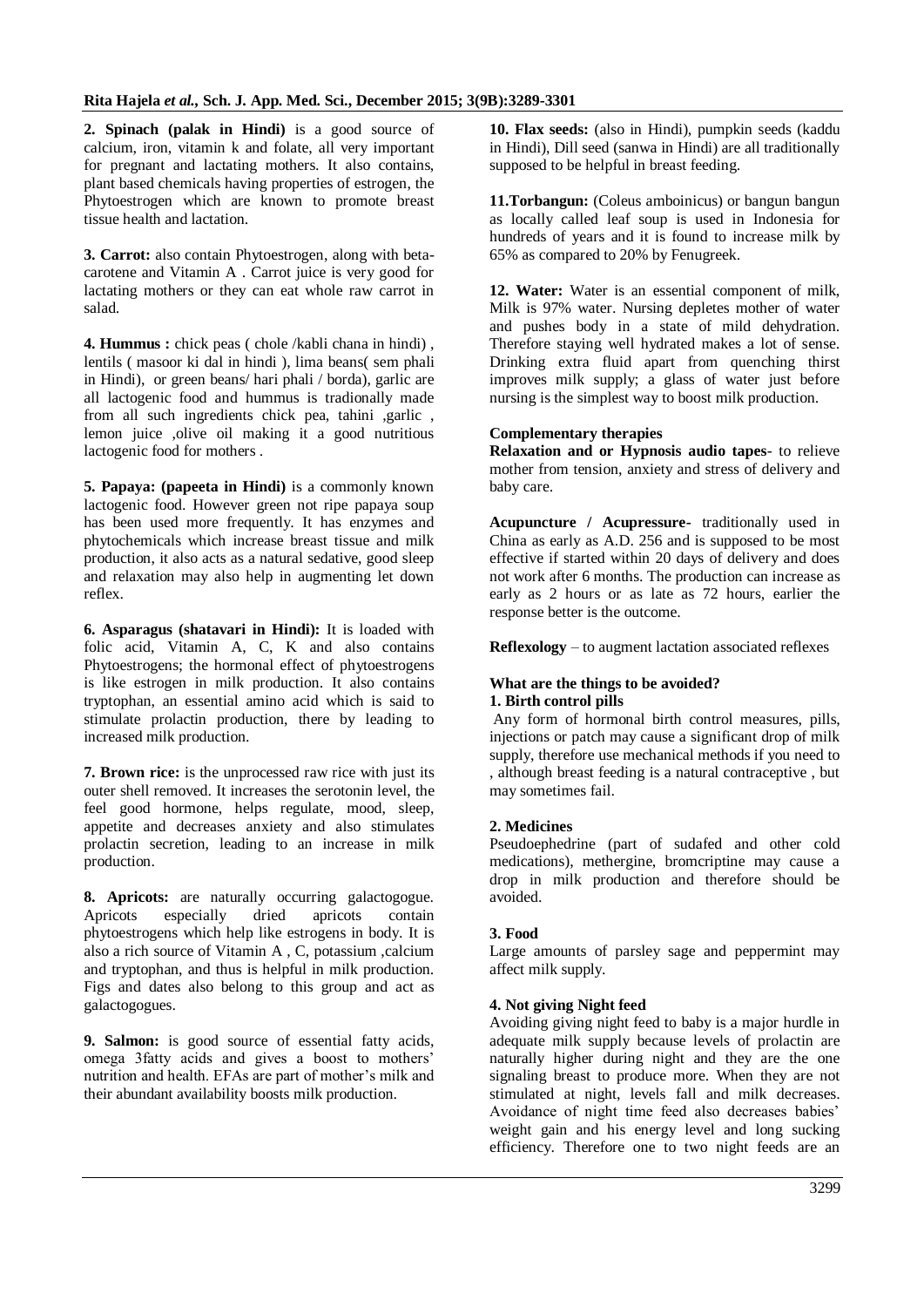**2. Spinach (palak in Hindi)** is a good source of calcium, iron, vitamin k and folate, all very important for pregnant and lactating mothers. It also contains, plant based chemicals having properties of estrogen, the Phytoestrogen which are known to promote breast tissue health and lactation.

**3. Carrot:** also contain Phytoestrogen, along with betacarotene and Vitamin A . Carrot juice is very good for lactating mothers or they can eat whole raw carrot in salad.

**4. Hummus :** chick peas ( chole /kabli chana in hindi) , lentils ( masoor ki dal in hindi ), lima beans( sem phali in Hindi), or green beans/ hari phali / borda), garlic are all lactogenic food and hummus is tradionally made from all such ingredients chick pea, tahini ,garlic , lemon juice ,olive oil making it a good nutritious lactogenic food for mothers .

**5. Papaya: (papeeta in Hindi)** is a commonly known lactogenic food. However green not ripe papaya soup has been used more frequently. It has enzymes and phytochemicals which increase breast tissue and milk production, it also acts as a natural sedative, good sleep and relaxation may also help in augmenting let down reflex.

**6. Asparagus (shatavari in Hindi):** It is loaded with folic acid, Vitamin A, C, K and also contains Phytoestrogens; the hormonal effect of phytoestrogens is like estrogen in milk production. It also contains tryptophan, an essential amino acid which is said to stimulate prolactin production, there by leading to increased milk production.

**7. Brown rice:** is the unprocessed raw rice with just its outer shell removed. It increases the serotonin level, the feel good hormone, helps regulate, mood, sleep, appetite and decreases anxiety and also stimulates prolactin secretion, leading to an increase in milk production.

**8. Apricots:** are naturally occurring galactogogue. Apricots especially dried apricots contain phytoestrogens which help like estrogens in body. It is also a rich source of Vitamin A , C, potassium ,calcium and tryptophan, and thus is helpful in milk production. Figs and dates also belong to this group and act as galactogogues.

**9. Salmon:** is good source of essential fatty acids, omega 3fatty acids and gives a boost to mothers' nutrition and health. EFAs are part of mother's milk and their abundant availability boosts milk production.

**10. Flax seeds:** (also in Hindi), pumpkin seeds (kaddu in Hindi), Dill seed (sanwa in Hindi) are all traditionally supposed to be helpful in breast feeding.

**11.Torbangun:** (Coleus amboinicus) or bangun bangun as locally called leaf soup is used in Indonesia for hundreds of years and it is found to increase milk by 65% as compared to 20% by Fenugreek.

**12. Water:** Water is an essential component of milk, Milk is 97% water. Nursing depletes mother of water and pushes body in a state of mild dehydration. Therefore staying well hydrated makes a lot of sense. Drinking extra fluid apart from quenching thirst improves milk supply; a glass of water just before nursing is the simplest way to boost milk production.

# **Complementary therapies**

**Relaxation and or Hypnosis audio tapes**- to relieve mother from tension, anxiety and stress of delivery and baby care.

**Acupuncture / Acupressure-** traditionally used in China as early as A.D. 256 and is supposed to be most effective if started within 20 days of delivery and does not work after 6 months. The production can increase as early as 2 hours or as late as 72 hours, earlier the response better is the outcome.

**Reflexology** – to augment lactation associated reflexes

#### **What are the things to be avoided? 1. Birth control pills**

Any form of hormonal birth control measures, pills, injections or patch may cause a significant drop of milk supply, therefore use mechanical methods if you need to , although breast feeding is a natural contraceptive , but may sometimes fail.

# **2. Medicines**

Pseudoephedrine (part of sudafed and other cold medications), methergine, bromcriptine may cause a drop in milk production and therefore should be avoided.

# **3. Food**

Large amounts of parsley sage and peppermint may affect milk supply.

# **4. Not giving Night feed**

Avoiding giving night feed to baby is a major hurdle in adequate milk supply because levels of prolactin are naturally higher during night and they are the one signaling breast to produce more. When they are not stimulated at night, levels fall and milk decreases. Avoidance of night time feed also decreases babies' weight gain and his energy level and long sucking efficiency. Therefore one to two night feeds are an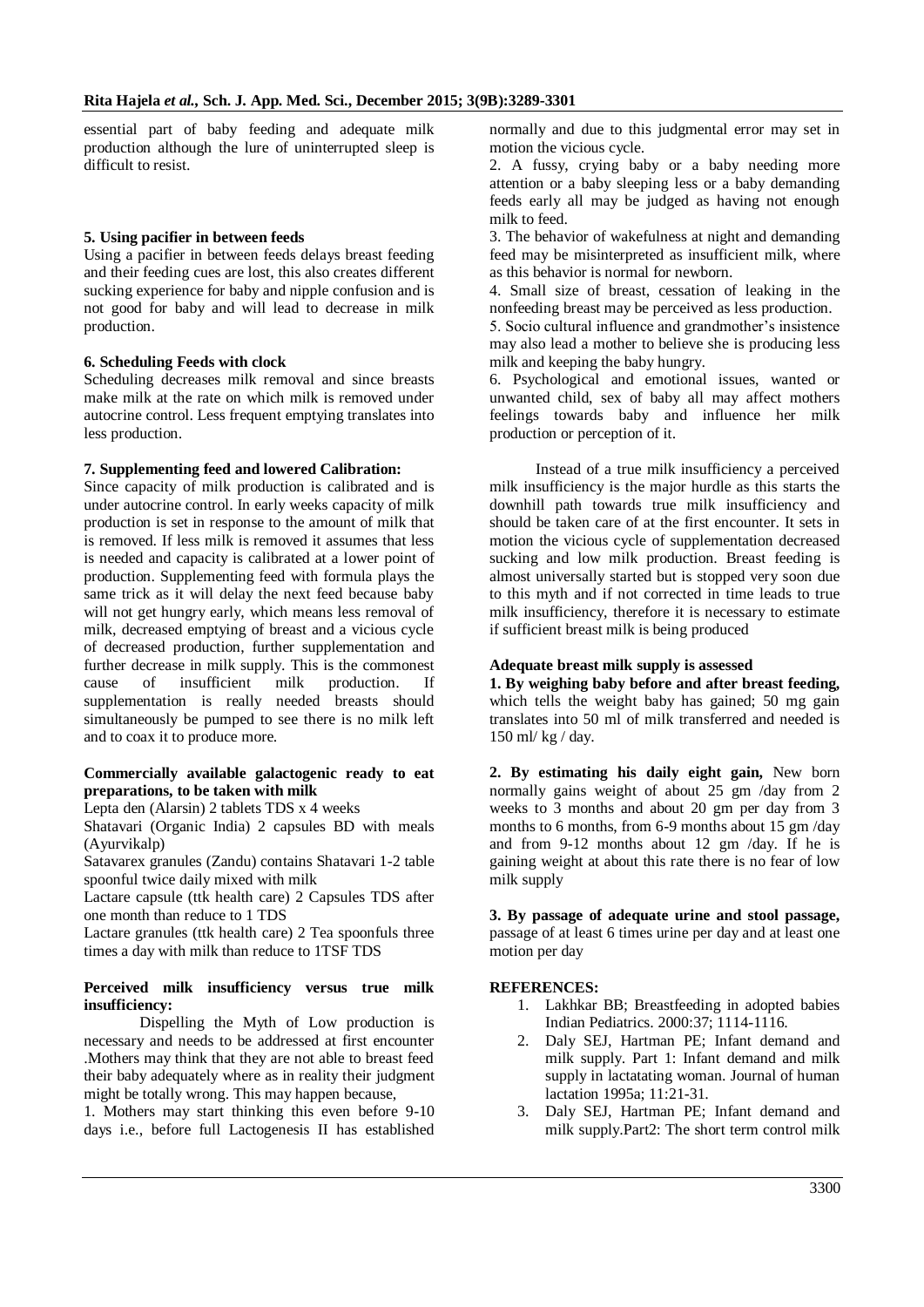essential part of baby feeding and adequate milk production although the lure of uninterrupted sleep is difficult to resist.

#### **5. Using pacifier in between feeds**

Using a pacifier in between feeds delays breast feeding and their feeding cues are lost, this also creates different sucking experience for baby and nipple confusion and is not good for baby and will lead to decrease in milk production.

#### **6. Scheduling Feeds with clock**

Scheduling decreases milk removal and since breasts make milk at the rate on which milk is removed under autocrine control. Less frequent emptying translates into less production.

#### **7. Supplementing feed and lowered Calibration:**

Since capacity of milk production is calibrated and is under autocrine control. In early weeks capacity of milk production is set in response to the amount of milk that is removed. If less milk is removed it assumes that less is needed and capacity is calibrated at a lower point of production. Supplementing feed with formula plays the same trick as it will delay the next feed because baby will not get hungry early, which means less removal of milk, decreased emptying of breast and a vicious cycle of decreased production, further supplementation and further decrease in milk supply. This is the commonest cause of insufficient milk production. If supplementation is really needed breasts should simultaneously be pumped to see there is no milk left and to coax it to produce more.

#### **Commercially available galactogenic ready to eat preparations, to be taken with milk**

Lepta den (Alarsin) 2 tablets TDS x 4 weeks

Shatavari (Organic India) 2 capsules BD with meals (Ayurvikalp)

Satavarex granules (Zandu) contains Shatavari 1-2 table spoonful twice daily mixed with milk

Lactare capsule (ttk health care) 2 Capsules TDS after one month than reduce to 1 TDS

Lactare granules (ttk health care) 2 Tea spoonfuls three times a day with milk than reduce to 1TSF TDS

#### **Perceived milk insufficiency versus true milk insufficiency:**

Dispelling the Myth of Low production is necessary and needs to be addressed at first encounter .Mothers may think that they are not able to breast feed their baby adequately where as in reality their judgment might be totally wrong. This may happen because,

1. Mothers may start thinking this even before 9-10 days i.e., before full Lactogenesis II has established

normally and due to this judgmental error may set in motion the vicious cycle.

2. A fussy, crying baby or a baby needing more attention or a baby sleeping less or a baby demanding feeds early all may be judged as having not enough milk to feed.

3. The behavior of wakefulness at night and demanding feed may be misinterpreted as insufficient milk, where as this behavior is normal for newborn.

4. Small size of breast, cessation of leaking in the nonfeeding breast may be perceived as less production.

5. Socio cultural influence and grandmother's insistence may also lead a mother to believe she is producing less milk and keeping the baby hungry.

6. Psychological and emotional issues, wanted or unwanted child, sex of baby all may affect mothers feelings towards baby and influence her milk production or perception of it.

 Instead of a true milk insufficiency a perceived milk insufficiency is the major hurdle as this starts the downhill path towards true milk insufficiency and should be taken care of at the first encounter. It sets in motion the vicious cycle of supplementation decreased sucking and low milk production. Breast feeding is almost universally started but is stopped very soon due to this myth and if not corrected in time leads to true milk insufficiency, therefore it is necessary to estimate if sufficient breast milk is being produced

# **Adequate breast milk supply is assessed**

**1. By weighing baby before and after breast feeding,**  which tells the weight baby has gained; 50 mg gain translates into 50 ml of milk transferred and needed is 150 ml/ kg / day.

**2. By estimating his daily eight gain,** New born normally gains weight of about 25 gm /day from 2 weeks to 3 months and about 20 gm per day from 3 months to 6 months, from 6-9 months about  $15 \text{ gm/day}$ and from 9-12 months about 12 gm /day. If he is gaining weight at about this rate there is no fear of low milk supply

**3. By passage of adequate urine and stool passage,**  passage of at least 6 times urine per day and at least one motion per day

# **REFERENCES:**

- 1. Lakhkar BB; Breastfeeding in adopted babies Indian Pediatrics. 2000:37; 1114-1116.
- 2. Daly SEJ, Hartman PE; Infant demand and milk supply. Part 1: Infant demand and milk supply in lactatating woman. Journal of human lactation 1995a; 11:21-31.
- 3. Daly SEJ, Hartman PE; Infant demand and milk supply.Part2: The short term control milk